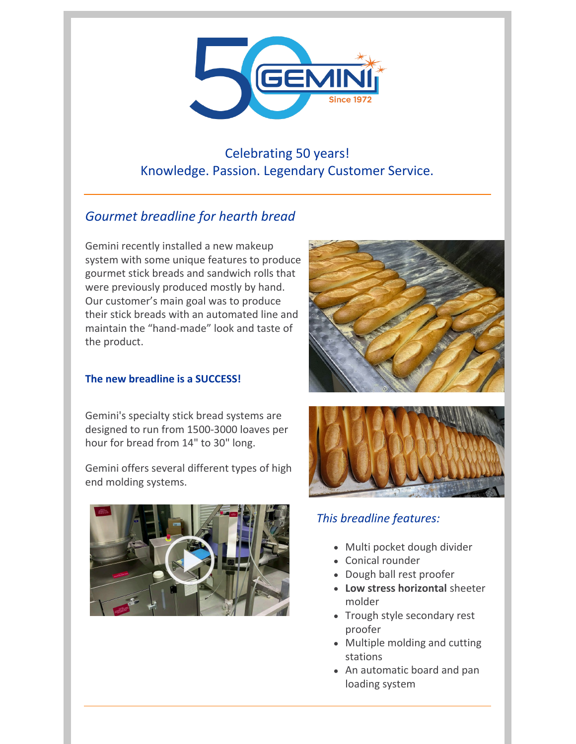

# Celebrating 50 years! Knowledge. Passion. Legendary Customer Service.

## *Gourmet breadline for hearth bread*

Gemini recently installed a new makeup system with some unique features to produce gourmet stick breads and sandwich rolls that were previously produced mostly by hand. Our customer's main goal was to produce their stick breads with an automated line and maintain the "hand-made" look and taste of the product.

#### **The new breadline is a SUCCESS!**

Gemini's specialty stick bread systems are designed to run from 1500-3000 loaves per hour for bread from 14" to 30" long.

Gemini offers several different types of high end molding systems.







### *This breadline features:*

- Multi pocket dough divider
- Conical rounder
- Dough ball rest proofer
- **Low stress horizontal** sheeter molder
- Trough style secondary rest proofer
- Multiple molding and cutting stations
- An automatic board and pan loading system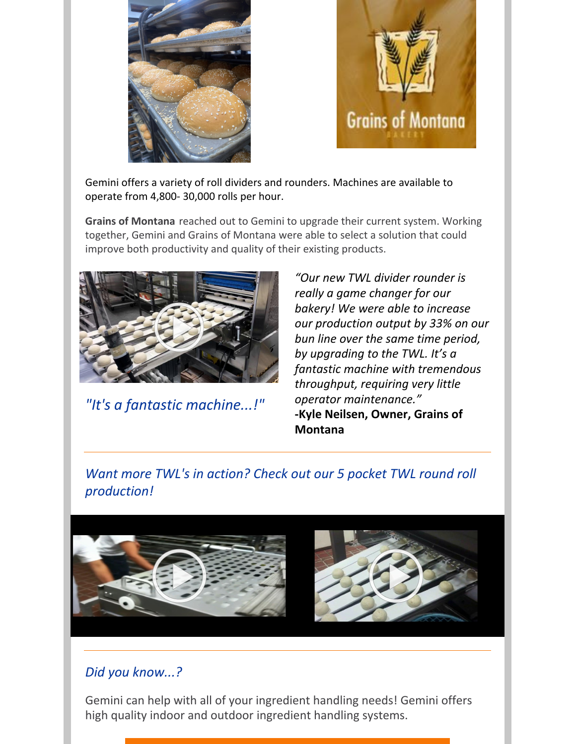



Gemini offers a variety of roll dividers and rounders. Machines are available to operate from 4,800- 30,000 rolls per hour.

**Grains of Montana** reached out to Gemini to upgrade their current system. Working together, Gemini and Grains of Montana were able to select a solution that could improve both productivity and quality of their existing products.



*"It's a fantastic machine...!"*

*"Our new TWL divider rounder is really a game changer for our bakery! We were able to increase our production output by 33% on our bun line over the same time period, by upgrading to the TWL. It's a fantastic machine with tremendous throughput, requiring very little operator maintenance."* **-Kyle Neilsen, Owner, Grains of Montana**

*Want more TWL's in action? Check out our 5 pocket TWL round roll production!*



## *Did you know...?*

Gemini can help with all of your ingredient handling needs! Gemini offers high quality indoor and outdoor ingredient handling systems.